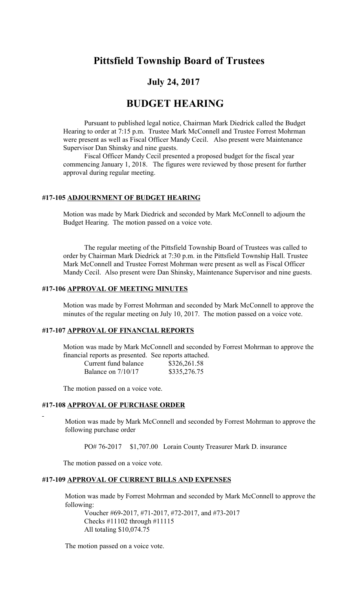# **Pittsfield Township Board of Trustees**

## **July 24, 2017**

## **BUDGET HEARING**

Pursuant to published legal notice, Chairman Mark Diedrick called the Budget Hearing to order at 7:15 p.m. Trustee Mark McConnell and Trustee Forrest Mohrman were present as well as Fiscal Officer Mandy Cecil. Also present were Maintenance Supervisor Dan Shinsky and nine guests.

Fiscal Officer Mandy Cecil presented a proposed budget for the fiscal year commencing January 1, 2018. The figures were reviewed by those present for further approval during regular meeting.

#### **#17-105 ADJOURNMENT OF BUDGET HEARING**

Motion was made by Mark Diedrick and seconded by Mark McConnell to adjourn the Budget Hearing. The motion passed on a voice vote.

The regular meeting of the Pittsfield Township Board of Trustees was called to order by Chairman Mark Diedrick at 7:30 p.m. in the Pittsfield Township Hall. Trustee Mark McConnell and Trustee Forrest Mohrman were present as well as Fiscal Officer Mandy Cecil. Also present were Dan Shinsky, Maintenance Supervisor and nine guests.

### **#17-106 APPROVAL OF MEETING MINUTES**

Motion was made by Forrest Mohrman and seconded by Mark McConnell to approve the minutes of the regular meeting on July 10, 2017. The motion passed on a voice vote.

## **#17-107 APPROVAL OF FINANCIAL REPORTS**

Motion was made by Mark McConnell and seconded by Forrest Mohrman to approve the financial reports as presented. See reports attached.

| Current fund balance | \$326,261.58 |
|----------------------|--------------|
| Balance on $7/10/17$ | \$335,276.75 |

The motion passed on a voice vote.

## **#17-108 APPROVAL OF PURCHASE ORDER**

Motion was made by Mark McConnell and seconded by Forrest Mohrman to approve the following purchase order

PO# 76-2017 \$1,707.00 Lorain County Treasurer Mark D. insurance

The motion passed on a voice vote.

#### **#17-109 APPROVAL OF CURRENT BILLS AND EXPENSES**

Motion was made by Forrest Mohrman and seconded by Mark McConnell to approve the following:

Voucher #69-2017, #71-2017, #72-2017, and #73-2017 Checks #11102 through #11115 All totaling \$10,074.75

The motion passed on a voice vote.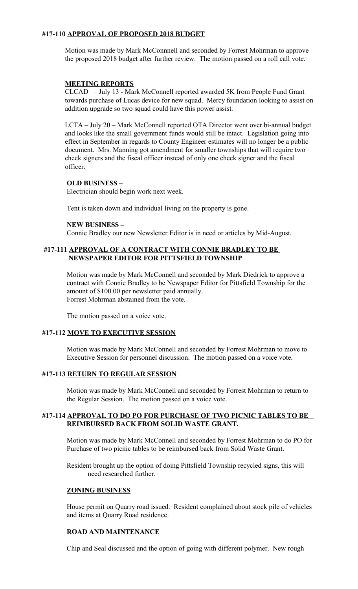## **#17-110 APPROVAL OF PROPOSED 2018 BUDGET**

Motion was made by Mark McConnnell and seconded by Forrest Mohrman to approve the proposed 2018 budget after further review. The motion passed on a roll call vote.

### **MEETING REPORTS**

CLCAD – July 13 - Mark McConnell reported awarded 5K from People Fund Grant towards purchase of Lucas device for new squad. Mercy foundation looking to assist on addition upgrade so two squad could have this power assist.

LCTA – July 20 – Mark McConnell reported OTA Director went over bi-annual budget and looks like the small government funds would still be intact. Legislation going into effect in September in regards to County Engineer estimates will no longer be a public document. Mrs. Manning got amendment for smaller townships that will require two check signers and the fiscal officer instead of only one check signer and the fiscal officer.

## **OLD BUSINESS** –

Electrician should begin work next week.

Tent is taken down and individual living on the property is gone.

### **NEW BUSINESS –**

Connie Bradley our new Newsletter Editor is in need or articles by Mid-August.

## **#17-111 APPROVAL OF A CONTRACT WITH CONNIE BRADLEY TO BE NEWSPAPER EDITOR FOR PITTSFIELD TOWNSHIP**

Motion was made by Mark McConnell and seconded by Mark Diedrick to approve a contract with Connie Bradley to be Newspaper Editor for Pittsfield Township for the amount of \$100.00 per newsletter paid annually. Forrest Mohrman abstained from the vote.

The motion passed on a voice vote.

### **#17-112 MOVE TO EXECUTIVE SESSION**

Motion was made by Mark McConnell and seconded by Forrest Mohrman to move to Executive Session for personnel discussion. The motion passed on a voice vote.

## **#17-113 RETURN TO REGULAR SESSION**

Motion was made by Mark McConnell and seconded by Forrest Mohrman to return to the Regular Session. The motion passed on a voice vote.

### **#17-114 APPROVAL TO DO PO FOR PURCHASE OF TWO PICNIC TABLES TO BE REIMBURSED BACK FROM SOLID WASTE GRANT.**

Motion was made by Mark McConnell and seconded by Forrest Mohrman to do PO for Purchase of two picnic tables to be reimbursed back from Solid Waste Grant.

 Resident brought up the option of doing Pittsfield Township recycled signs, this will need researched further.

#### **ZONING BUSINESS**

House permit on Quarry road issued. Resident complained about stock pile of vehicles and items at Quarry Road residence.

### **ROAD AND MAINTENANCE**

Chip and Seal discussed and the option of going with different polymer. New rough